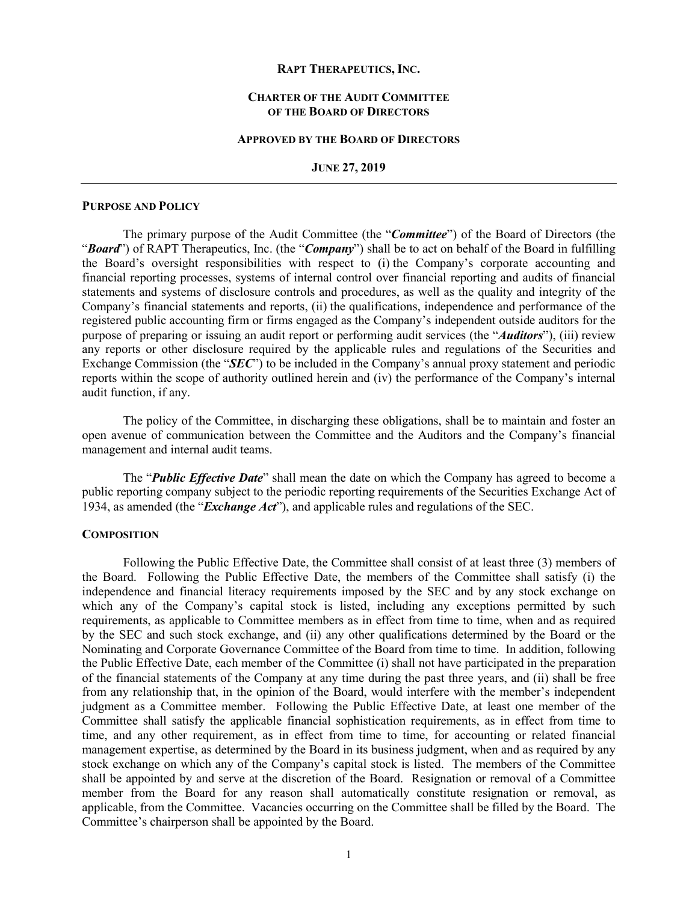#### **RAPT THERAPEUTICS, INC.**

# **CHARTER OF THE AUDIT COMMITTEE OF THE BOARD OF DIRECTORS**

### **APPROVED BY THE BOARD OF DIRECTORS**

### **JUNE 27, 2019**

# **PURPOSE AND POLICY**

The primary purpose of the Audit Committee (the "*Committee*") of the Board of Directors (the "*Board*") of RAPT Therapeutics, Inc. (the "*Company*") shall be to act on behalf of the Board in fulfilling the Board's oversight responsibilities with respect to (i) the Company's corporate accounting and financial reporting processes, systems of internal control over financial reporting and audits of financial statements and systems of disclosure controls and procedures, as well as the quality and integrity of the Company's financial statements and reports, (ii) the qualifications, independence and performance of the registered public accounting firm or firms engaged as the Company's independent outside auditors for the purpose of preparing or issuing an audit report or performing audit services (the "*Auditors*"), (iii) review any reports or other disclosure required by the applicable rules and regulations of the Securities and Exchange Commission (the "*SEC*") to be included in the Company's annual proxy statement and periodic reports within the scope of authority outlined herein and (iv) the performance of the Company's internal audit function, if any.

The policy of the Committee, in discharging these obligations, shall be to maintain and foster an open avenue of communication between the Committee and the Auditors and the Company's financial management and internal audit teams.

The "*Public Effective Date*" shall mean the date on which the Company has agreed to become a public reporting company subject to the periodic reporting requirements of the Securities Exchange Act of 1934, as amended (the "*Exchange Act*"), and applicable rules and regulations of the SEC.

#### **COMPOSITION**

Following the Public Effective Date, the Committee shall consist of at least three (3) members of the Board. Following the Public Effective Date, the members of the Committee shall satisfy (i) the independence and financial literacy requirements imposed by the SEC and by any stock exchange on which any of the Company's capital stock is listed, including any exceptions permitted by such requirements, as applicable to Committee members as in effect from time to time, when and as required by the SEC and such stock exchange, and (ii) any other qualifications determined by the Board or the Nominating and Corporate Governance Committee of the Board from time to time. In addition, following the Public Effective Date, each member of the Committee (i) shall not have participated in the preparation of the financial statements of the Company at any time during the past three years, and (ii) shall be free from any relationship that, in the opinion of the Board, would interfere with the member's independent judgment as a Committee member. Following the Public Effective Date, at least one member of the Committee shall satisfy the applicable financial sophistication requirements, as in effect from time to time, and any other requirement, as in effect from time to time, for accounting or related financial management expertise, as determined by the Board in its business judgment, when and as required by any stock exchange on which any of the Company's capital stock is listed. The members of the Committee shall be appointed by and serve at the discretion of the Board. Resignation or removal of a Committee member from the Board for any reason shall automatically constitute resignation or removal, as applicable, from the Committee. Vacancies occurring on the Committee shall be filled by the Board. The Committee's chairperson shall be appointed by the Board.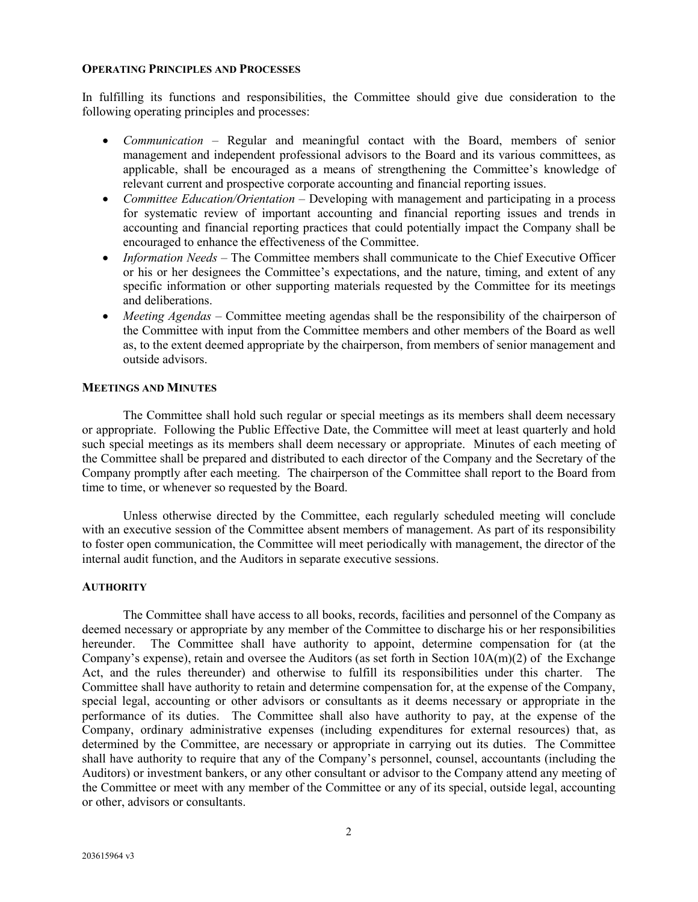# **OPERATING PRINCIPLES AND PROCESSES**

In fulfilling its functions and responsibilities, the Committee should give due consideration to the following operating principles and processes:

- *Communication* Regular and meaningful contact with the Board, members of senior management and independent professional advisors to the Board and its various committees, as applicable, shall be encouraged as a means of strengthening the Committee's knowledge of relevant current and prospective corporate accounting and financial reporting issues.
- *Committee Education/Orientation* Developing with management and participating in a process for systematic review of important accounting and financial reporting issues and trends in accounting and financial reporting practices that could potentially impact the Company shall be encouraged to enhance the effectiveness of the Committee.
- *Information Needs* The Committee members shall communicate to the Chief Executive Officer or his or her designees the Committee's expectations, and the nature, timing, and extent of any specific information or other supporting materials requested by the Committee for its meetings and deliberations.
- *Meeting Agendas* Committee meeting agendas shall be the responsibility of the chairperson of the Committee with input from the Committee members and other members of the Board as well as, to the extent deemed appropriate by the chairperson, from members of senior management and outside advisors.

## **MEETINGS AND MINUTES**

The Committee shall hold such regular or special meetings as its members shall deem necessary or appropriate. Following the Public Effective Date, the Committee will meet at least quarterly and hold such special meetings as its members shall deem necessary or appropriate. Minutes of each meeting of the Committee shall be prepared and distributed to each director of the Company and the Secretary of the Company promptly after each meeting. The chairperson of the Committee shall report to the Board from time to time, or whenever so requested by the Board.

Unless otherwise directed by the Committee, each regularly scheduled meeting will conclude with an executive session of the Committee absent members of management. As part of its responsibility to foster open communication, the Committee will meet periodically with management, the director of the internal audit function, and the Auditors in separate executive sessions.

# **AUTHORITY**

The Committee shall have access to all books, records, facilities and personnel of the Company as deemed necessary or appropriate by any member of the Committee to discharge his or her responsibilities hereunder. The Committee shall have authority to appoint, determine compensation for (at the Company's expense), retain and oversee the Auditors (as set forth in Section  $10A(m)(2)$  of the Exchange Act, and the rules thereunder) and otherwise to fulfill its responsibilities under this charter. The Committee shall have authority to retain and determine compensation for, at the expense of the Company, special legal, accounting or other advisors or consultants as it deems necessary or appropriate in the performance of its duties. The Committee shall also have authority to pay, at the expense of the Company, ordinary administrative expenses (including expenditures for external resources) that, as determined by the Committee, are necessary or appropriate in carrying out its duties. The Committee shall have authority to require that any of the Company's personnel, counsel, accountants (including the Auditors) or investment bankers, or any other consultant or advisor to the Company attend any meeting of the Committee or meet with any member of the Committee or any of its special, outside legal, accounting or other, advisors or consultants.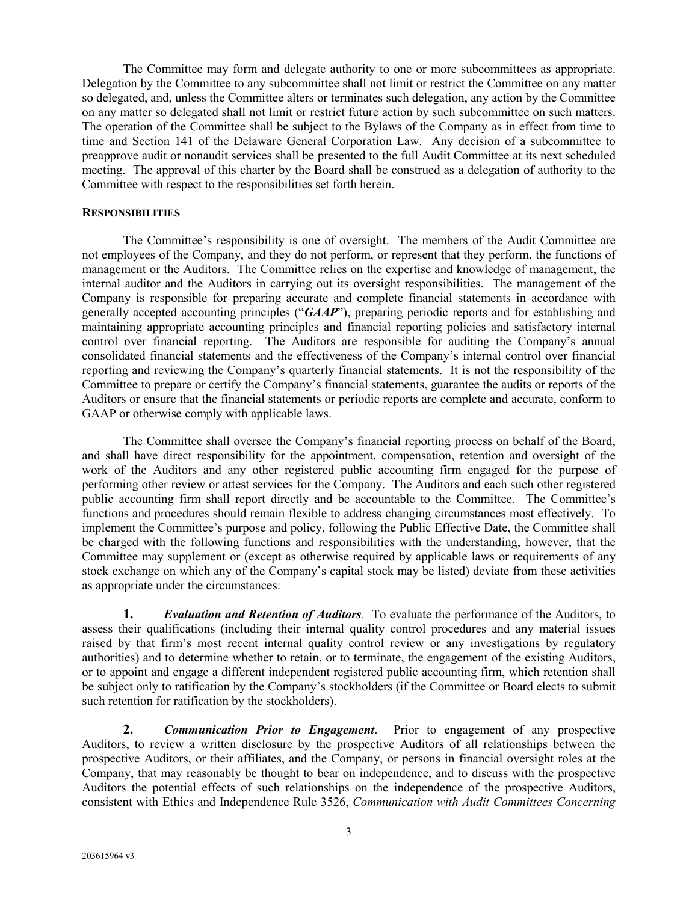The Committee may form and delegate authority to one or more subcommittees as appropriate. Delegation by the Committee to any subcommittee shall not limit or restrict the Committee on any matter so delegated, and, unless the Committee alters or terminates such delegation, any action by the Committee on any matter so delegated shall not limit or restrict future action by such subcommittee on such matters. The operation of the Committee shall be subject to the Bylaws of the Company as in effect from time to time and Section 141 of the Delaware General Corporation Law. Any decision of a subcommittee to preapprove audit or nonaudit services shall be presented to the full Audit Committee at its next scheduled meeting. The approval of this charter by the Board shall be construed as a delegation of authority to the Committee with respect to the responsibilities set forth herein.

# **RESPONSIBILITIES**

The Committee's responsibility is one of oversight. The members of the Audit Committee are not employees of the Company, and they do not perform, or represent that they perform, the functions of management or the Auditors. The Committee relies on the expertise and knowledge of management, the internal auditor and the Auditors in carrying out its oversight responsibilities. The management of the Company is responsible for preparing accurate and complete financial statements in accordance with generally accepted accounting principles ("*GAAP*"), preparing periodic reports and for establishing and maintaining appropriate accounting principles and financial reporting policies and satisfactory internal control over financial reporting. The Auditors are responsible for auditing the Company's annual consolidated financial statements and the effectiveness of the Company's internal control over financial reporting and reviewing the Company's quarterly financial statements. It is not the responsibility of the Committee to prepare or certify the Company's financial statements, guarantee the audits or reports of the Auditors or ensure that the financial statements or periodic reports are complete and accurate, conform to GAAP or otherwise comply with applicable laws.

The Committee shall oversee the Company's financial reporting process on behalf of the Board, and shall have direct responsibility for the appointment, compensation, retention and oversight of the work of the Auditors and any other registered public accounting firm engaged for the purpose of performing other review or attest services for the Company. The Auditors and each such other registered public accounting firm shall report directly and be accountable to the Committee. The Committee's functions and procedures should remain flexible to address changing circumstances most effectively. To implement the Committee's purpose and policy, following the Public Effective Date, the Committee shall be charged with the following functions and responsibilities with the understanding, however, that the Committee may supplement or (except as otherwise required by applicable laws or requirements of any stock exchange on which any of the Company's capital stock may be listed) deviate from these activities as appropriate under the circumstances:

**1.** *Evaluation and Retention of Auditors.* To evaluate the performance of the Auditors, to assess their qualifications (including their internal quality control procedures and any material issues raised by that firm's most recent internal quality control review or any investigations by regulatory authorities) and to determine whether to retain, or to terminate, the engagement of the existing Auditors, or to appoint and engage a different independent registered public accounting firm, which retention shall be subject only to ratification by the Company's stockholders (if the Committee or Board elects to submit such retention for ratification by the stockholders).

**2.** *Communication Prior to Engagement*. Prior to engagement of any prospective Auditors, to review a written disclosure by the prospective Auditors of all relationships between the prospective Auditors, or their affiliates, and the Company, or persons in financial oversight roles at the Company, that may reasonably be thought to bear on independence, and to discuss with the prospective Auditors the potential effects of such relationships on the independence of the prospective Auditors, consistent with Ethics and Independence Rule 3526, *Communication with Audit Committees Concerning*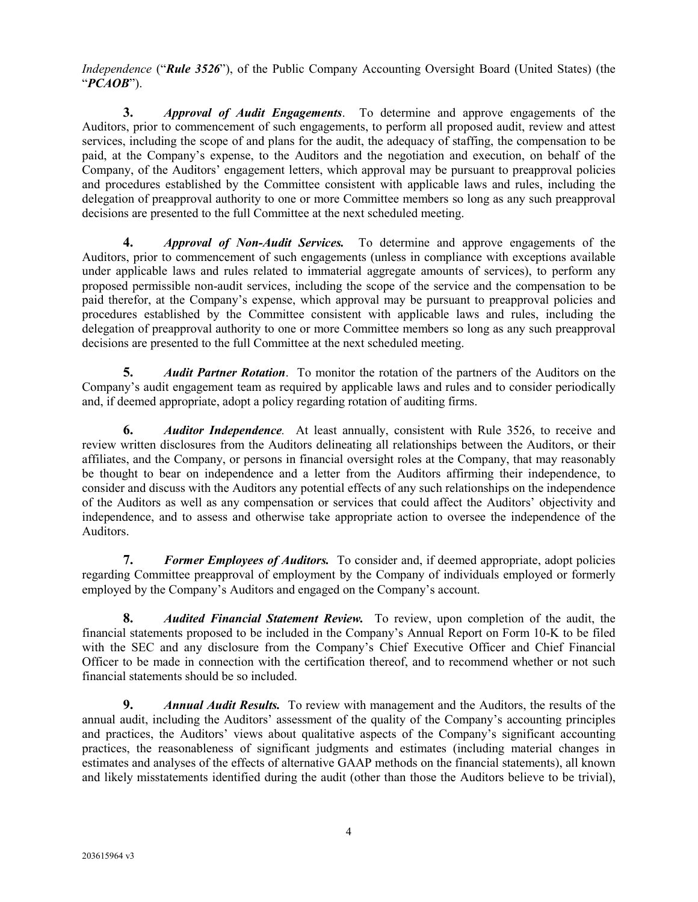*Independence* ("*Rule 3526*"), of the Public Company Accounting Oversight Board (United States) (the "*PCAOB*").

**3.** *Approval of Audit Engagements*. To determine and approve engagements of the Auditors, prior to commencement of such engagements, to perform all proposed audit, review and attest services, including the scope of and plans for the audit, the adequacy of staffing, the compensation to be paid, at the Company's expense, to the Auditors and the negotiation and execution, on behalf of the Company, of the Auditors' engagement letters, which approval may be pursuant to preapproval policies and procedures established by the Committee consistent with applicable laws and rules, including the delegation of preapproval authority to one or more Committee members so long as any such preapproval decisions are presented to the full Committee at the next scheduled meeting.

**4.** *Approval of Non-Audit Services.* To determine and approve engagements of the Auditors, prior to commencement of such engagements (unless in compliance with exceptions available under applicable laws and rules related to immaterial aggregate amounts of services), to perform any proposed permissible non-audit services, including the scope of the service and the compensation to be paid therefor, at the Company's expense, which approval may be pursuant to preapproval policies and procedures established by the Committee consistent with applicable laws and rules, including the delegation of preapproval authority to one or more Committee members so long as any such preapproval decisions are presented to the full Committee at the next scheduled meeting.

**5.** *Audit Partner Rotation*. To monitor the rotation of the partners of the Auditors on the Company's audit engagement team as required by applicable laws and rules and to consider periodically and, if deemed appropriate, adopt a policy regarding rotation of auditing firms.

**6.** *Auditor Independence.* At least annually, consistent with Rule 3526, to receive and review written disclosures from the Auditors delineating all relationships between the Auditors, or their affiliates, and the Company, or persons in financial oversight roles at the Company, that may reasonably be thought to bear on independence and a letter from the Auditors affirming their independence, to consider and discuss with the Auditors any potential effects of any such relationships on the independence of the Auditors as well as any compensation or services that could affect the Auditors' objectivity and independence, and to assess and otherwise take appropriate action to oversee the independence of the Auditors.

**7.** *Former Employees of Auditors.* To consider and, if deemed appropriate, adopt policies regarding Committee preapproval of employment by the Company of individuals employed or formerly employed by the Company's Auditors and engaged on the Company's account.

**8.** *Audited Financial Statement Review.* To review, upon completion of the audit, the financial statements proposed to be included in the Company's Annual Report on Form 10-K to be filed with the SEC and any disclosure from the Company's Chief Executive Officer and Chief Financial Officer to be made in connection with the certification thereof, and to recommend whether or not such financial statements should be so included.

**9.** *Annual Audit Results.* To review with management and the Auditors, the results of the annual audit, including the Auditors' assessment of the quality of the Company's accounting principles and practices, the Auditors' views about qualitative aspects of the Company's significant accounting practices, the reasonableness of significant judgments and estimates (including material changes in estimates and analyses of the effects of alternative GAAP methods on the financial statements), all known and likely misstatements identified during the audit (other than those the Auditors believe to be trivial),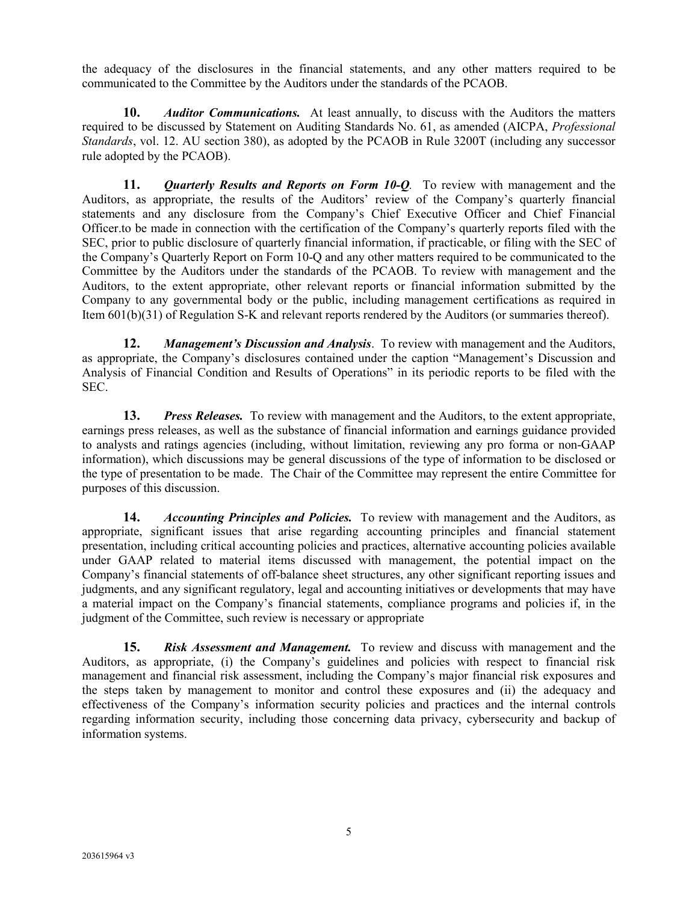the adequacy of the disclosures in the financial statements, and any other matters required to be communicated to the Committee by the Auditors under the standards of the PCAOB.

**10.** *Auditor Communications.* At least annually, to discuss with the Auditors the matters required to be discussed by Statement on Auditing Standards No. 61, as amended (AICPA, *Professional Standards*, vol. 12. AU section 380), as adopted by the PCAOB in Rule 3200T (including any successor rule adopted by the PCAOB).

**11.** *Quarterly Results and Reports on Form 10-Q.* To review with management and the Auditors, as appropriate, the results of the Auditors' review of the Company's quarterly financial statements and any disclosure from the Company's Chief Executive Officer and Chief Financial Officer.to be made in connection with the certification of the Company's quarterly reports filed with the SEC, prior to public disclosure of quarterly financial information, if practicable, or filing with the SEC of the Company's Quarterly Report on Form 10-Q and any other matters required to be communicated to the Committee by the Auditors under the standards of the PCAOB. To review with management and the Auditors, to the extent appropriate, other relevant reports or financial information submitted by the Company to any governmental body or the public, including management certifications as required in Item 601(b)(31) of Regulation S-K and relevant reports rendered by the Auditors (or summaries thereof).

**12.** *Management's Discussion and Analysis*. To review with management and the Auditors, as appropriate, the Company's disclosures contained under the caption "Management's Discussion and Analysis of Financial Condition and Results of Operations" in its periodic reports to be filed with the SEC.

**13.** *Press Releases.* To review with management and the Auditors, to the extent appropriate, earnings press releases, as well as the substance of financial information and earnings guidance provided to analysts and ratings agencies (including, without limitation, reviewing any pro forma or non-GAAP information), which discussions may be general discussions of the type of information to be disclosed or the type of presentation to be made. The Chair of the Committee may represent the entire Committee for purposes of this discussion.

**14.** *Accounting Principles and Policies.* To review with management and the Auditors, as appropriate, significant issues that arise regarding accounting principles and financial statement presentation, including critical accounting policies and practices, alternative accounting policies available under GAAP related to material items discussed with management, the potential impact on the Company's financial statements of off-balance sheet structures, any other significant reporting issues and judgments, and any significant regulatory, legal and accounting initiatives or developments that may have a material impact on the Company's financial statements, compliance programs and policies if, in the judgment of the Committee, such review is necessary or appropriate

**15.** *Risk Assessment and Management.* To review and discuss with management and the Auditors, as appropriate, (i) the Company's guidelines and policies with respect to financial risk management and financial risk assessment, including the Company's major financial risk exposures and the steps taken by management to monitor and control these exposures and (ii) the adequacy and effectiveness of the Company's information security policies and practices and the internal controls regarding information security, including those concerning data privacy, cybersecurity and backup of information systems.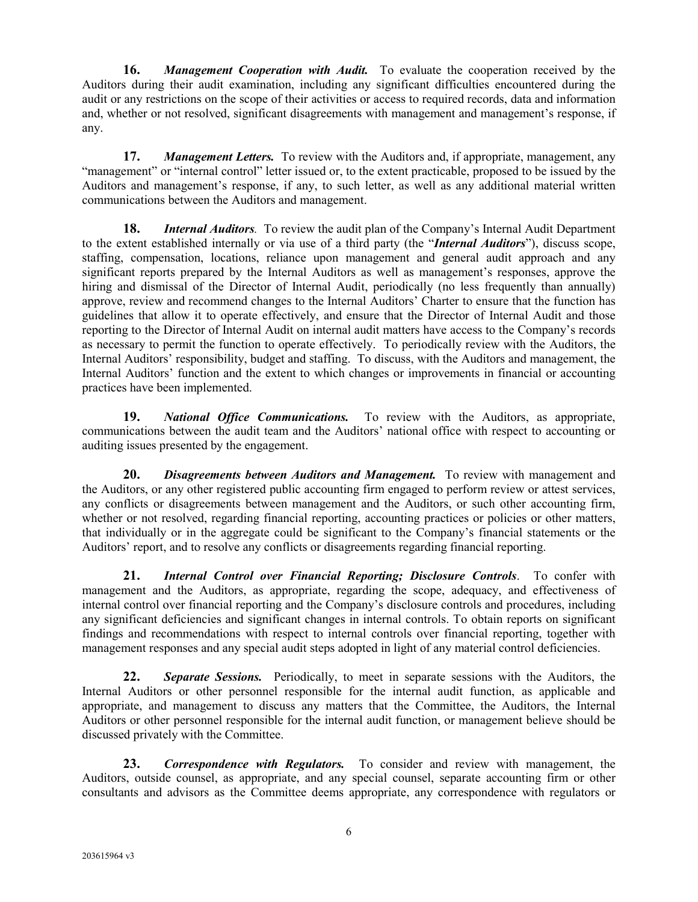**16.** *Management Cooperation with Audit.* To evaluate the cooperation received by the Auditors during their audit examination, including any significant difficulties encountered during the audit or any restrictions on the scope of their activities or access to required records, data and information and, whether or not resolved, significant disagreements with management and management's response, if any.

**17.** *Management Letters.* To review with the Auditors and, if appropriate, management, any "management" or "internal control" letter issued or, to the extent practicable, proposed to be issued by the Auditors and management's response, if any, to such letter, as well as any additional material written communications between the Auditors and management.

**18.** *Internal Auditors.* To review the audit plan of the Company's Internal Audit Department to the extent established internally or via use of a third party (the "*Internal Auditors*"), discuss scope, staffing, compensation, locations, reliance upon management and general audit approach and any significant reports prepared by the Internal Auditors as well as management's responses, approve the hiring and dismissal of the Director of Internal Audit, periodically (no less frequently than annually) approve, review and recommend changes to the Internal Auditors' Charter to ensure that the function has guidelines that allow it to operate effectively, and ensure that the Director of Internal Audit and those reporting to the Director of Internal Audit on internal audit matters have access to the Company's records as necessary to permit the function to operate effectively. To periodically review with the Auditors, the Internal Auditors' responsibility, budget and staffing. To discuss, with the Auditors and management, the Internal Auditors' function and the extent to which changes or improvements in financial or accounting practices have been implemented.

**19.** *National Office Communications.* To review with the Auditors, as appropriate, communications between the audit team and the Auditors' national office with respect to accounting or auditing issues presented by the engagement.

**20.** *Disagreements between Auditors and Management.* To review with management and the Auditors, or any other registered public accounting firm engaged to perform review or attest services, any conflicts or disagreements between management and the Auditors, or such other accounting firm, whether or not resolved, regarding financial reporting, accounting practices or policies or other matters, that individually or in the aggregate could be significant to the Company's financial statements or the Auditors' report, and to resolve any conflicts or disagreements regarding financial reporting.

**21.** *Internal Control over Financial Reporting; Disclosure Controls*. To confer with management and the Auditors, as appropriate, regarding the scope, adequacy, and effectiveness of internal control over financial reporting and the Company's disclosure controls and procedures, including any significant deficiencies and significant changes in internal controls. To obtain reports on significant findings and recommendations with respect to internal controls over financial reporting, together with management responses and any special audit steps adopted in light of any material control deficiencies.

**22.** *Separate Sessions.* Periodically, to meet in separate sessions with the Auditors, the Internal Auditors or other personnel responsible for the internal audit function, as applicable and appropriate, and management to discuss any matters that the Committee, the Auditors, the Internal Auditors or other personnel responsible for the internal audit function, or management believe should be discussed privately with the Committee.

**23.** *Correspondence with Regulators.* To consider and review with management, the Auditors, outside counsel, as appropriate, and any special counsel, separate accounting firm or other consultants and advisors as the Committee deems appropriate, any correspondence with regulators or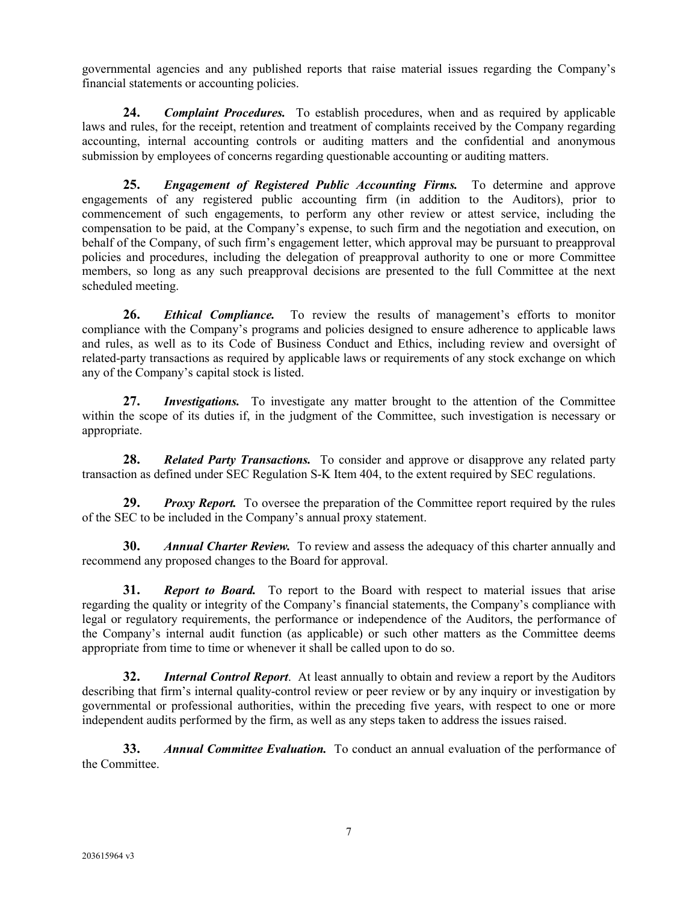governmental agencies and any published reports that raise material issues regarding the Company's financial statements or accounting policies.

**24.** *Complaint Procedures.* To establish procedures, when and as required by applicable laws and rules, for the receipt, retention and treatment of complaints received by the Company regarding accounting, internal accounting controls or auditing matters and the confidential and anonymous submission by employees of concerns regarding questionable accounting or auditing matters.

**25.** *Engagement of Registered Public Accounting Firms.* To determine and approve engagements of any registered public accounting firm (in addition to the Auditors), prior to commencement of such engagements, to perform any other review or attest service, including the compensation to be paid, at the Company's expense, to such firm and the negotiation and execution, on behalf of the Company, of such firm's engagement letter, which approval may be pursuant to preapproval policies and procedures, including the delegation of preapproval authority to one or more Committee members, so long as any such preapproval decisions are presented to the full Committee at the next scheduled meeting.

**26.** *Ethical Compliance.* To review the results of management's efforts to monitor compliance with the Company's programs and policies designed to ensure adherence to applicable laws and rules, as well as to its Code of Business Conduct and Ethics, including review and oversight of related-party transactions as required by applicable laws or requirements of any stock exchange on which any of the Company's capital stock is listed.

**27.** *Investigations.* To investigate any matter brought to the attention of the Committee within the scope of its duties if, in the judgment of the Committee, such investigation is necessary or appropriate.

**28.** *Related Party Transactions.* To consider and approve or disapprove any related party transaction as defined under SEC Regulation S-K Item 404, to the extent required by SEC regulations.

**29.** *Proxy Report.* To oversee the preparation of the Committee report required by the rules of the SEC to be included in the Company's annual proxy statement.

**30.** *Annual Charter Review.* To review and assess the adequacy of this charter annually and recommend any proposed changes to the Board for approval.

**31.** *Report to Board.* To report to the Board with respect to material issues that arise regarding the quality or integrity of the Company's financial statements, the Company's compliance with legal or regulatory requirements, the performance or independence of the Auditors, the performance of the Company's internal audit function (as applicable) or such other matters as the Committee deems appropriate from time to time or whenever it shall be called upon to do so.

**32.** *Internal Control Report*. At least annually to obtain and review a report by the Auditors describing that firm's internal quality-control review or peer review or by any inquiry or investigation by governmental or professional authorities, within the preceding five years, with respect to one or more independent audits performed by the firm, as well as any steps taken to address the issues raised.

**33.** *Annual Committee Evaluation.* To conduct an annual evaluation of the performance of the Committee.